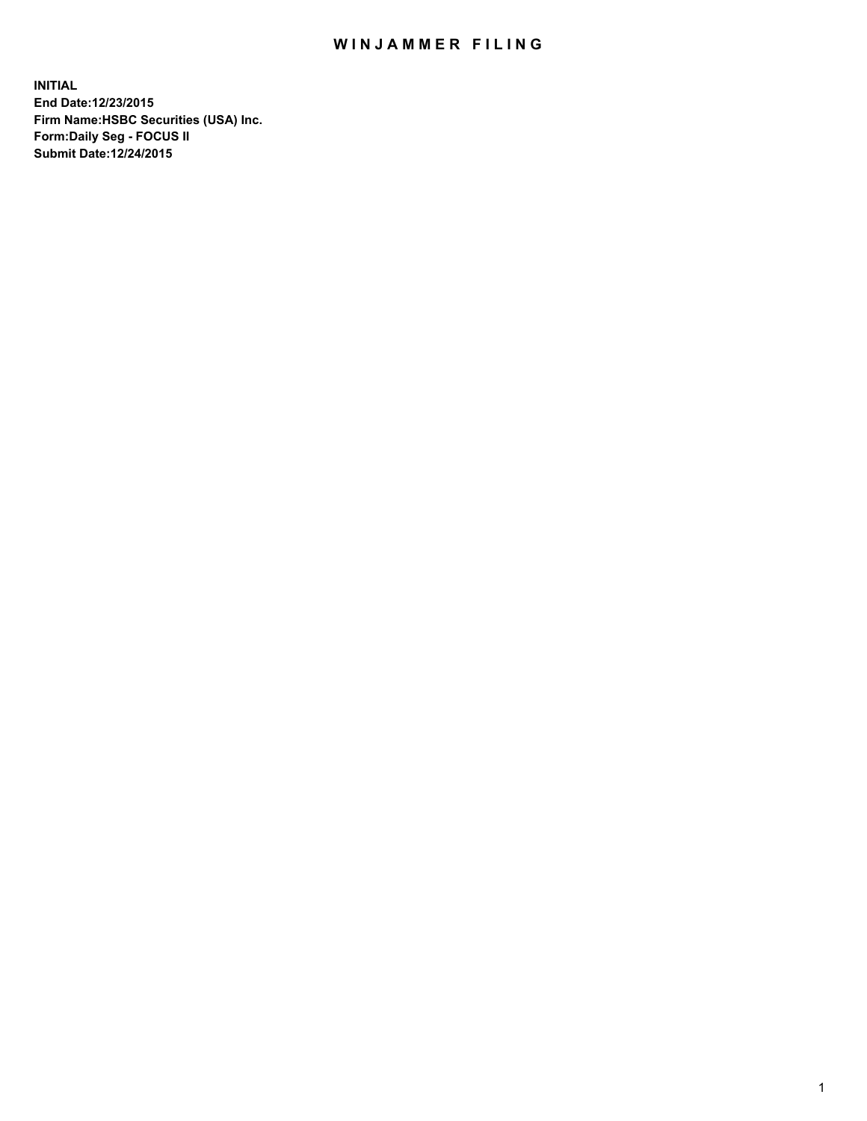## WIN JAMMER FILING

**INITIAL End Date:12/23/2015 Firm Name:HSBC Securities (USA) Inc. Form:Daily Seg - FOCUS II Submit Date:12/24/2015**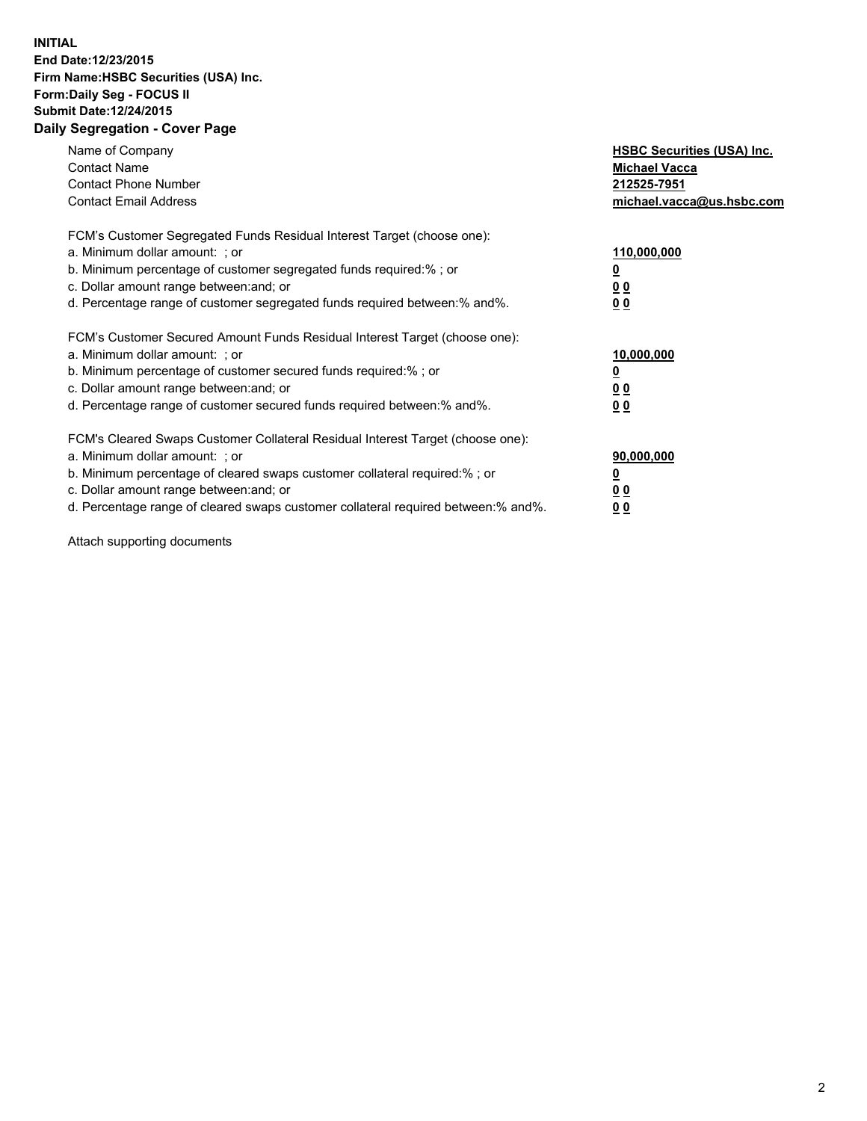## **INITIAL End Date:12/23/2015 Firm Name:HSBC Securities (USA) Inc. Form:Daily Seg - FOCUS II Submit Date:12/24/2015 Daily Segregation - Cover Page**

| Name of Company<br><b>Contact Name</b><br><b>Contact Phone Number</b><br><b>Contact Email Address</b>                                                                                                                                                                                                                          | <b>HSBC Securities (USA) Inc.</b><br><b>Michael Vacca</b><br>212525-7951<br>michael.vacca@us.hsbc.com |
|--------------------------------------------------------------------------------------------------------------------------------------------------------------------------------------------------------------------------------------------------------------------------------------------------------------------------------|-------------------------------------------------------------------------------------------------------|
| FCM's Customer Segregated Funds Residual Interest Target (choose one):<br>a. Minimum dollar amount: ; or<br>b. Minimum percentage of customer segregated funds required:%; or<br>c. Dollar amount range between: and; or<br>d. Percentage range of customer segregated funds required between:% and%.                          | 110,000,000<br><u>0</u><br><u>00</u><br><u>00</u>                                                     |
| FCM's Customer Secured Amount Funds Residual Interest Target (choose one):<br>a. Minimum dollar amount: ; or<br>b. Minimum percentage of customer secured funds required:%; or<br>c. Dollar amount range between: and; or<br>d. Percentage range of customer secured funds required between:% and%.                            | 10,000,000<br><u>0</u><br><u>00</u><br><u>00</u>                                                      |
| FCM's Cleared Swaps Customer Collateral Residual Interest Target (choose one):<br>a. Minimum dollar amount: ; or<br>b. Minimum percentage of cleared swaps customer collateral required:% ; or<br>c. Dollar amount range between: and; or<br>d. Percentage range of cleared swaps customer collateral required between:% and%. | 90,000,000<br><u>00</u><br><u>00</u>                                                                  |

Attach supporting documents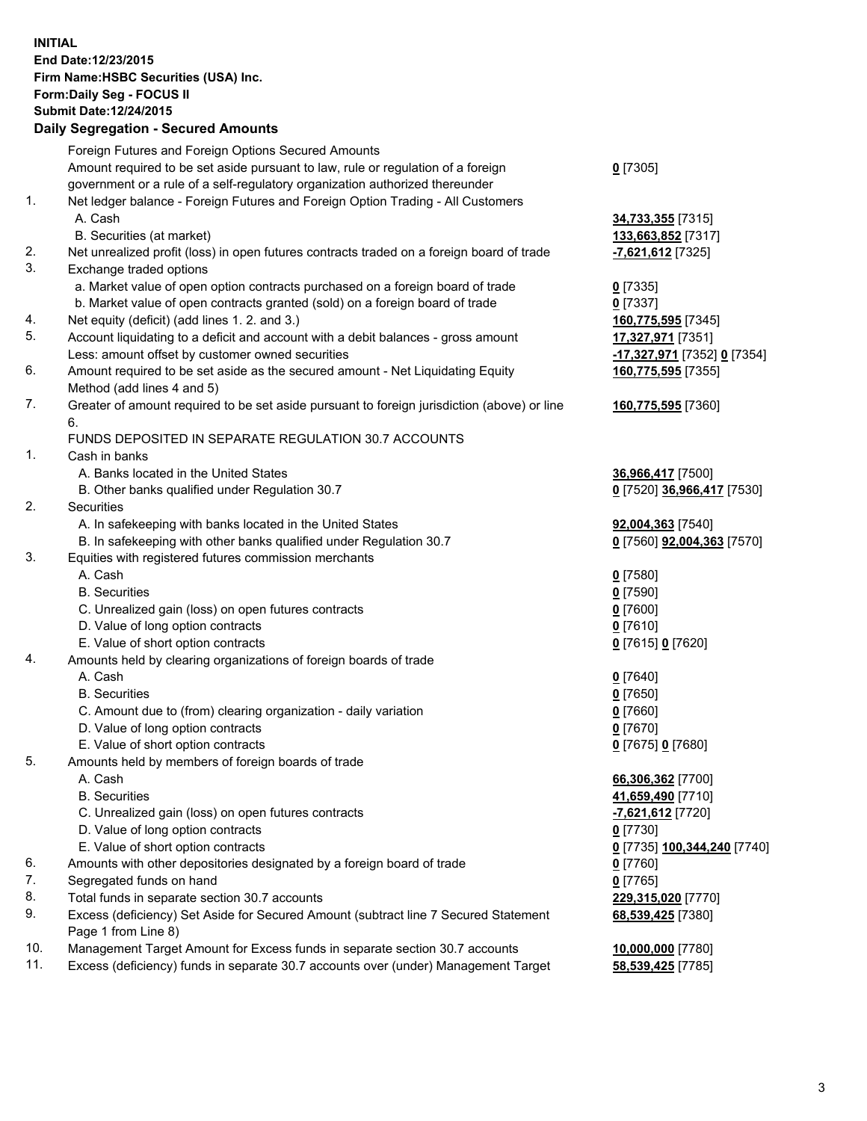**INITIAL End Date:12/23/2015 Firm Name:HSBC Securities (USA) Inc. Form:Daily Seg - FOCUS II Submit Date:12/24/2015 Daily Segregation - Secured Amounts**

## Foreign Futures and Foreign Options Secured Amounts Amount required to be set aside pursuant to law, rule or regulation of a foreign government or a rule of a self-regulatory organization authorized thereunder 1. Net ledger balance - Foreign Futures and Foreign Option Trading - All Customers A. Cash **34,733,355** [7315] B. Securities (at market) **133,663,852** [7317] 2. Net unrealized profit (loss) in open futures contracts traded on a foreign board of trade **-7,621,612** [7325] 3. Exchange traded options a. Market value of open option contracts purchased on a foreign board of trade **0** [7335] b. Market value of open contracts granted (sold) on a foreign board of trade **0** [7337] 4. Net equity (deficit) (add lines 1. 2. and 3.) **160,775,595** [7345] 5. Account liquidating to a deficit and account with a debit balances - gross amount **17,327,971** [7351] Less: amount offset by customer owned securities **-17,327,971** [7352] **0** [7354] 6. Amount required to be set aside as the secured amount - Net Liquidating Equity Method (add lines 4 and 5)

7. Greater of amount required to be set aside pursuant to foreign jurisdiction (above) or line 6.

## FUNDS DEPOSITED IN SEPARATE REGULATION 30.7 ACCOUNTS

1. Cash in banks

- A. Banks located in the United States **36,966,417** [7500]
- B. Other banks qualified under Regulation 30.7 **0** [7520] **36,966,417** [7530]
- 2. Securities
	- A. In safekeeping with banks located in the United States **92,004,363** [7540]
	- B. In safekeeping with other banks qualified under Regulation 30.7 **0** [7560] **92,004,363** [7570]
- 3. Equities with registered futures commission merchants
	- A. Cash **0** [7580]
		-
	- C. Unrealized gain (loss) on open futures contracts **0** [7600]
	- D. Value of long option contracts **0** [7610]
	- E. Value of short option contracts **0** [7615] **0** [7620]
- 4. Amounts held by clearing organizations of foreign boards of trade
	- A. Cash **0** [7640]
		-
	- C. Amount due to (from) clearing organization daily variation **0** [7660]
	- D. Value of long option contracts **0** [7670]
	- E. Value of short option contracts **0** [7675] **0** [7680]
- 5. Amounts held by members of foreign boards of trade
	-
	-
	- C. Unrealized gain (loss) on open futures contracts **-7,621,612** [7720]
	- D. Value of long option contracts **0** [7730]
	- E. Value of short option contracts **0** [7735] **100,344,240** [7740]
- 6. Amounts with other depositories designated by a foreign board of trade **0** [7760]
- 7. Segregated funds on hand **0** [7765]
- 8. Total funds in separate section 30.7 accounts **229,315,020** [7770]
- 9. Excess (deficiency) Set Aside for Secured Amount (subtract line 7 Secured Statement Page 1 from Line 8)
- 10. Management Target Amount for Excess funds in separate section 30.7 accounts **10,000,000** [7780]
- 11. Excess (deficiency) funds in separate 30.7 accounts over (under) Management Target **58,539,425** [7785]

**160,775,595** [7360]

**160,775,595** [7355]

B. Securities **0** [7590]

B. Securities **0** [7650]

 A. Cash **66,306,362** [7700] B. Securities **41,659,490** [7710] **68,539,425** [7380]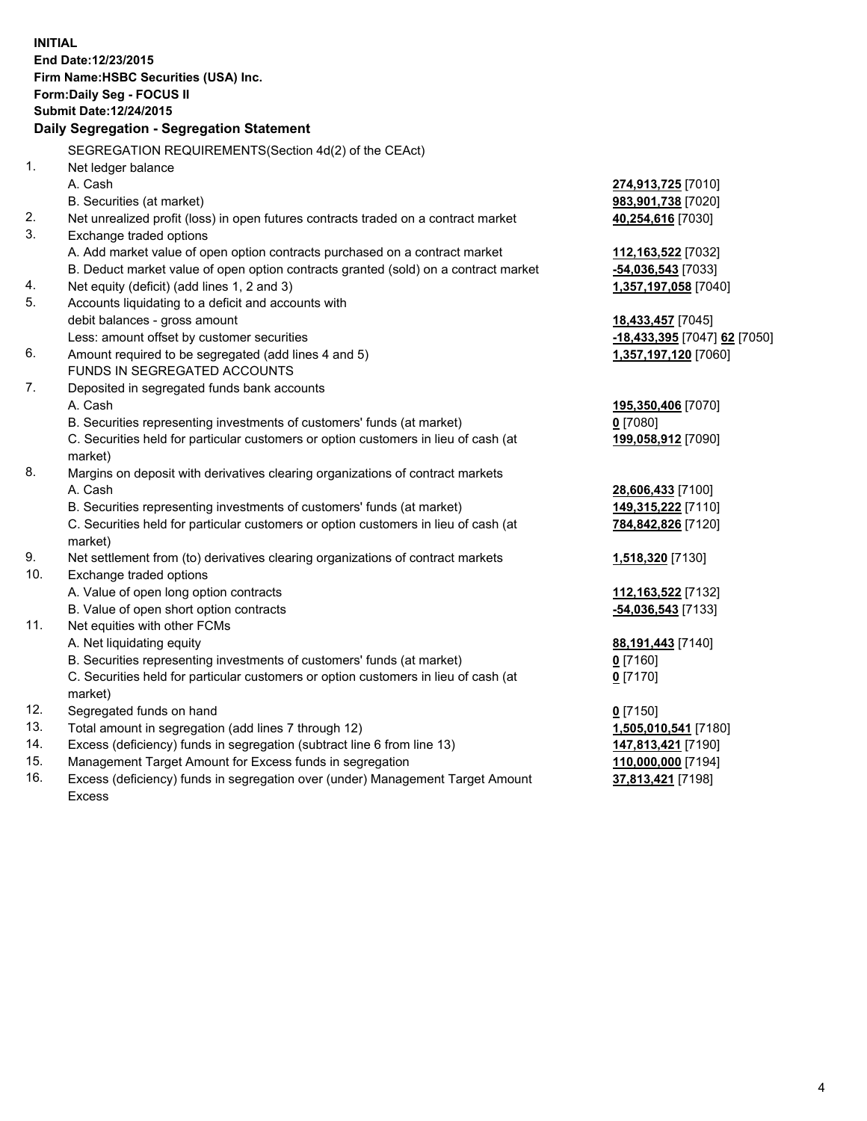| <b>INITIAL</b> | End Date:12/23/2015<br>Firm Name: HSBC Securities (USA) Inc.<br>Form: Daily Seg - FOCUS II     |                              |
|----------------|------------------------------------------------------------------------------------------------|------------------------------|
|                | <b>Submit Date: 12/24/2015</b>                                                                 |                              |
|                | Daily Segregation - Segregation Statement                                                      |                              |
|                | SEGREGATION REQUIREMENTS(Section 4d(2) of the CEAct)                                           |                              |
| 1.             | Net ledger balance                                                                             |                              |
|                | A. Cash                                                                                        | 274,913,725 [7010]           |
|                | B. Securities (at market)                                                                      | 983,901,738 [7020]           |
| 2.             | Net unrealized profit (loss) in open futures contracts traded on a contract market             | 40,254,616 [7030]            |
| 3.             | Exchange traded options                                                                        |                              |
|                | A. Add market value of open option contracts purchased on a contract market                    | 112,163,522 [7032]           |
|                | B. Deduct market value of open option contracts granted (sold) on a contract market            | -54,036,543 [7033]           |
| 4.             | Net equity (deficit) (add lines 1, 2 and 3)                                                    | 1,357,197,058 [7040]         |
| 5.             | Accounts liquidating to a deficit and accounts with                                            |                              |
|                | debit balances - gross amount                                                                  | 18,433,457 [7045]            |
|                | Less: amount offset by customer securities                                                     | -18,433,395 [7047] 62 [7050] |
| 6.             | Amount required to be segregated (add lines 4 and 5)                                           | 1,357,197,120 [7060]         |
|                | FUNDS IN SEGREGATED ACCOUNTS                                                                   |                              |
| 7.             | Deposited in segregated funds bank accounts                                                    |                              |
|                | A. Cash                                                                                        | 195,350,406 [7070]           |
|                | B. Securities representing investments of customers' funds (at market)                         | $0$ [7080]                   |
|                | C. Securities held for particular customers or option customers in lieu of cash (at<br>market) | 199,058,912 [7090]           |
| 8.             | Margins on deposit with derivatives clearing organizations of contract markets                 |                              |
|                | A. Cash                                                                                        | 28,606,433 [7100]            |
|                | B. Securities representing investments of customers' funds (at market)                         | 149,315,222 [7110]           |
|                | C. Securities held for particular customers or option customers in lieu of cash (at            | 784,842,826 [7120]           |
|                | market)                                                                                        |                              |
| 9.             | Net settlement from (to) derivatives clearing organizations of contract markets                | 1,518,320 [7130]             |
| 10.            | Exchange traded options                                                                        |                              |
|                | A. Value of open long option contracts                                                         | 112,163,522 [7132]           |
|                | B. Value of open short option contracts                                                        | -54,036,543 [7133]           |
| 11.            | Net equities with other FCMs                                                                   |                              |
|                | A. Net liquidating equity                                                                      | 88,191,443 [7140]            |
|                | B. Securities representing investments of customers' funds (at market)                         | $\underline{0}$ [7160]       |
|                | C. Securities held for particular customers or option customers in lieu of cash (at            | $0$ [7170]                   |
|                | market)                                                                                        |                              |
| 12.            | Segregated funds on hand                                                                       | $0$ [7150]                   |
| 13.            | Total amount in segregation (add lines 7 through 12)                                           | 1,505,010,541 [7180]         |
| 14.            | Excess (deficiency) funds in segregation (subtract line 6 from line 13)                        | 147,813,421 [7190]           |
| 15.            | Management Target Amount for Excess funds in segregation                                       | 110,000,000 [7194]           |
| 16.            | Excess (deficiency) funds in segregation over (under) Management Target Amount                 | 37,813,421 [7198]            |

16. Excess (deficiency) funds in segregation over (under) Management Target Amount Excess